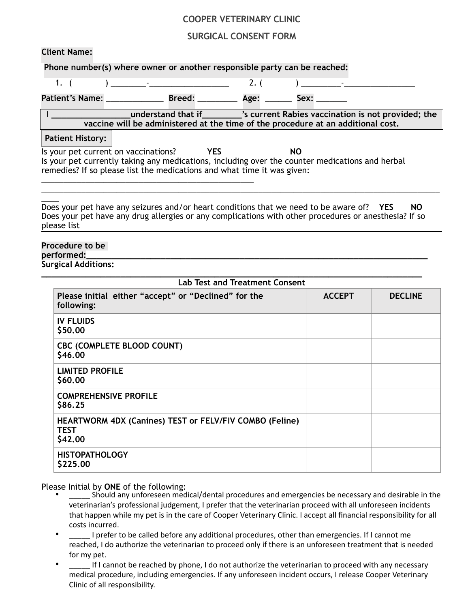## **COOPER VETERINARY CLINIC**

## **SURGICAL CONSENT FORM**

**Client Name:**

**Phone number(s) where owner or another responsible party can be reached:**

\_\_\_\_\_\_\_\_\_\_\_\_\_\_\_\_\_\_\_\_\_\_\_\_\_\_\_\_\_\_\_\_\_\_\_\_\_\_\_\_\_\_\_\_\_\_\_\_

| $\overline{1}$ .                     | $\mathbf{r}$ and $\mathbf{r}$ are the set of $\mathbf{r}$ and $\mathbf{r}$ are the set of $\mathbf{r}$ |               |                                                                                 |                  |    | $\mathbf{I}$ and $\mathbf{I}$ and $\mathbf{I}$ |  |  |
|--------------------------------------|--------------------------------------------------------------------------------------------------------|---------------|---------------------------------------------------------------------------------|------------------|----|------------------------------------------------|--|--|
| Patient's Name: ________             |                                                                                                        | <b>Breed:</b> |                                                                                 | <b>Age:</b> ____ |    | Sex:                                           |  |  |
|                                      | vaccine will be administered at the time of the procedure at an additional cost.                       |               | understand that if __________'s current Rabies vaccination is not provided; the |                  |    |                                                |  |  |
| <b>Patient History:</b>              |                                                                                                        |               |                                                                                 |                  |    |                                                |  |  |
| Is your pet current on vaccinations? |                                                                                                        |               | <b>YES</b>                                                                      |                  | NO |                                                |  |  |

Is your pet currently taking any medications, including over the counter medications and herbal remedies? If so please list the medications and what time it was given:

 $\overline{\phantom{a}}$ Does your pet have any seizures and/or heart conditions that we need to be aware of? **YES NO** Does your pet have any drug allergies or any complications with other procedures or anesthesia? If so please list

\_\_\_\_\_\_\_\_\_\_\_\_\_\_\_\_\_\_\_\_\_\_\_\_\_\_\_\_\_\_\_\_\_\_\_\_\_\_\_\_\_\_\_\_\_\_\_\_\_\_\_\_\_\_\_\_\_\_\_\_\_\_\_\_\_\_\_\_\_\_\_\_\_\_\_\_\_\_\_\_\_\_\_\_\_\_\_\_\_\_

## **Procedure to be performed:**

**Surgical Additions:** 

| <b>Lab Test and Treatment Consent</b>                                                    |               |                |  |
|------------------------------------------------------------------------------------------|---------------|----------------|--|
| Please initial either "accept" or "Declined" for the<br>following:                       | <b>ACCEPT</b> | <b>DECLINE</b> |  |
| <b>IV FLUIDS</b><br>\$50.00                                                              |               |                |  |
| CBC (COMPLETE BLOOD COUNT)<br>\$46.00                                                    |               |                |  |
| <b>LIMITED PROFILE</b><br>\$60,00                                                        |               |                |  |
| <b>COMPREHENSIVE PROFILE</b><br>\$86.25                                                  |               |                |  |
| <b>HEARTWORM 4DX (Canines) TEST or FELV/FIV COMBO (Feline)</b><br><b>TEST</b><br>\$42.00 |               |                |  |
| <b>HISTOPATHOLOGY</b><br>\$225.00                                                        |               |                |  |

Please Initial by **ONE** of the following:

- Should any unforeseen medical/dental procedures and emergencies be necessary and desirable in the veterinarian's professional judgement, I prefer that the veterinarian proceed with all unforeseen incidents that happen while my pet is in the care of Cooper Veterinary Clinic. I accept all financial responsibility for all costs incurred.
- I prefer to be called before any additional procedures, other than emergencies. If I cannot me reached, I do authorize the veterinarian to proceed only if there is an unforeseen treatment that is needed for my pet.
- If I cannot be reached by phone, I do not authorize the veterinarian to proceed with any necessary medical procedure, including emergencies. If any unforeseen incident occurs, I release Cooper Veterinary Clinic of all responsibility.